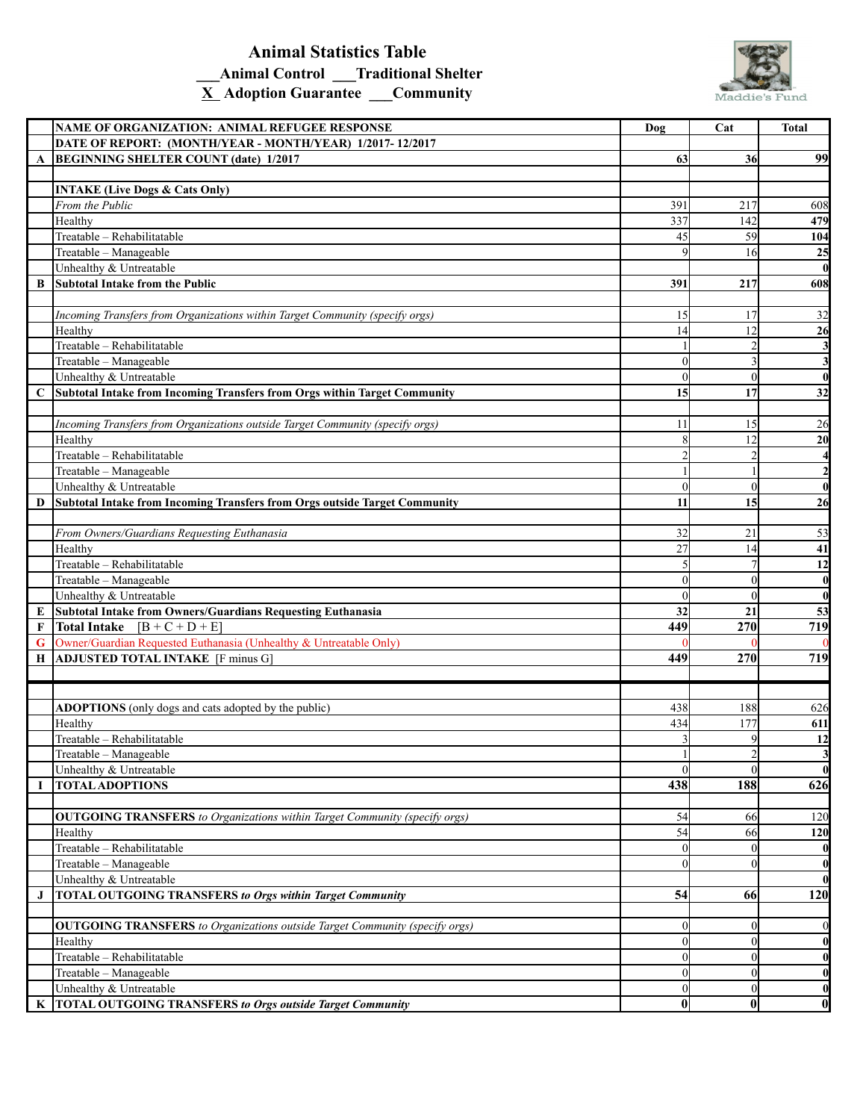## **Animal Statistics Table \_\_\_Animal Control \_\_\_Traditional Shelter X Adoption Guarantee \_\_\_Community**



|             | NAME OF ORGANIZATION: ANIMAL REFUGEE RESPONSE                                      | Dog            | Cat              | <b>Total</b>            |
|-------------|------------------------------------------------------------------------------------|----------------|------------------|-------------------------|
|             | DATE OF REPORT: (MONTH/YEAR - MONTH/YEAR) 1/2017-12/2017                           |                |                  |                         |
| A           | <b>BEGINNING SHELTER COUNT (date) 1/2017</b>                                       | <b>63</b>      | 36               | 99                      |
|             |                                                                                    |                |                  |                         |
|             | <b>INTAKE (Live Dogs &amp; Cats Only)</b>                                          |                |                  |                         |
|             | From the Public                                                                    | 391            | 217              | 608                     |
|             | Healthy                                                                            | 337            | 142              | 479                     |
|             | Treatable - Rehabilitatable                                                        | 45             | 59               | 104                     |
|             | Treatable - Manageable                                                             | $\overline{q}$ | 16               | 25                      |
|             | Unhealthy & Untreatable                                                            |                |                  | $\bf{0}$                |
|             |                                                                                    |                |                  |                         |
| B           | Subtotal Intake from the Public                                                    | 391            | 217              | 608                     |
|             |                                                                                    |                |                  |                         |
|             | Incoming Transfers from Organizations within Target Community (specify orgs)       | 15             | 17               | 32                      |
|             | Healthy                                                                            | 14             | 12               | 26                      |
|             | Treatable - Rehabilitatable                                                        |                |                  | $\mathbf{3}$            |
|             | Treatable - Manageable                                                             | $\Omega$       | 3                | $\mathbf{3}$            |
|             | Unhealthy & Untreatable                                                            | $\Omega$       | $\theta$         | $\bf{0}$                |
| $\mathbf C$ | Subtotal Intake from Incoming Transfers from Orgs within Target Community          | 15             | 17               | 32                      |
|             |                                                                                    |                |                  |                         |
|             | Incoming Transfers from Organizations outside Target Community (specify orgs)      | 11             | 15               | 26                      |
|             | Healthy                                                                            | 8              | 12               | 20                      |
|             | Treatable - Rehabilitatable                                                        |                | $\overline{2}$   | $\overline{\mathbf{4}}$ |
|             | Treatable - Manageable                                                             |                |                  | $\mathbf{2}$            |
|             | Unhealthy & Untreatable                                                            | $\Omega$       | $\mathbf{0}$     | $\bf{0}$                |
|             |                                                                                    | 11             | 15               |                         |
| D           | Subtotal Intake from Incoming Transfers from Orgs outside Target Community         |                |                  | 26                      |
|             |                                                                                    |                |                  |                         |
|             | From Owners/Guardians Requesting Euthanasia                                        | 32             | 21               | 53                      |
|             | Healthy                                                                            | 27             | 14               | 41                      |
|             | Treatable - Rehabilitatable                                                        |                |                  | 12                      |
|             | Treatable - Manageable                                                             | $\Omega$       | $\mathbf{0}$     | $\bf{0}$                |
|             | Unhealthy & Untreatable                                                            | $\Omega$       | $\theta$         | $\bf{0}$                |
| E           | Subtotal Intake from Owners/Guardians Requesting Euthanasia                        | 32             | 21               | 53                      |
| F           | Total Intake $[B + C + D + E]$                                                     | 449            | 270              | 719                     |
| G           | Owner/Guardian Requested Euthanasia (Unhealthy & Untreatable Only)                 |                |                  |                         |
| Н           | ADJUSTED TOTAL INTAKE [F minus G]                                                  | 449            | 270              | 719                     |
|             |                                                                                    |                |                  |                         |
|             |                                                                                    |                |                  |                         |
|             | <b>ADOPTIONS</b> (only dogs and cats adopted by the public)                        | 438            | 188              | 626                     |
|             | Healthy                                                                            | 434            | 177              | 611                     |
|             | Treatable - Rehabilitatable                                                        |                | 9                | 12                      |
|             | Treatable - Manageable                                                             |                | $\overline{ }$   | $\overline{\mathbf{3}}$ |
|             |                                                                                    | $\Omega$       | $\overline{0}$   | $\bf{0}$                |
|             | Unhealthy & Untreatable<br><b>TOTAL ADOPTIONS</b>                                  | 438            | 188              | 626                     |
| I           |                                                                                    |                |                  |                         |
|             |                                                                                    |                |                  |                         |
|             | <b>OUTGOING TRANSFERS</b> to Organizations within Target Community (specify orgs)  | 54             | 66               | 120                     |
|             | Healthy                                                                            | 54             | 66               | 120                     |
|             | Treatable - Rehabilitatable                                                        | $\theta$       | $\theta$         | $\bf{0}$                |
|             | Treatable - Manageable                                                             | $\Omega$       | $\theta$         | $\bf{0}$                |
|             | Unhealthy & Untreatable                                                            |                |                  | $\boldsymbol{0}$        |
| J           | <b>TOTAL OUTGOING TRANSFERS to Orgs within Target Community</b>                    | 54             | 66               | 120                     |
|             |                                                                                    |                |                  |                         |
|             | <b>OUTGOING TRANSFERS</b> to Organizations outside Target Community (specify orgs) | $\theta$       | $\boldsymbol{0}$ | $\boldsymbol{0}$        |
|             | Healthy                                                                            | $\theta$       | $\theta$         | $\boldsymbol{0}$        |
|             | Treatable - Rehabilitatable                                                        | $\Omega$       | $\mathbf{0}$     | $\bf{0}$                |
|             | Treatable - Manageable                                                             | $\Omega$       | $\theta$         | $\bf{0}$                |
|             | Unhealthy & Untreatable                                                            | $\overline{0}$ | $\mathbf{0}$     | $\boldsymbol{0}$        |
| K           | <b>TOTAL OUTGOING TRANSFERS to Orgs outside Target Community</b>                   | $\mathbf{0}$   | $\bf{0}$         | $\boldsymbol{0}$        |